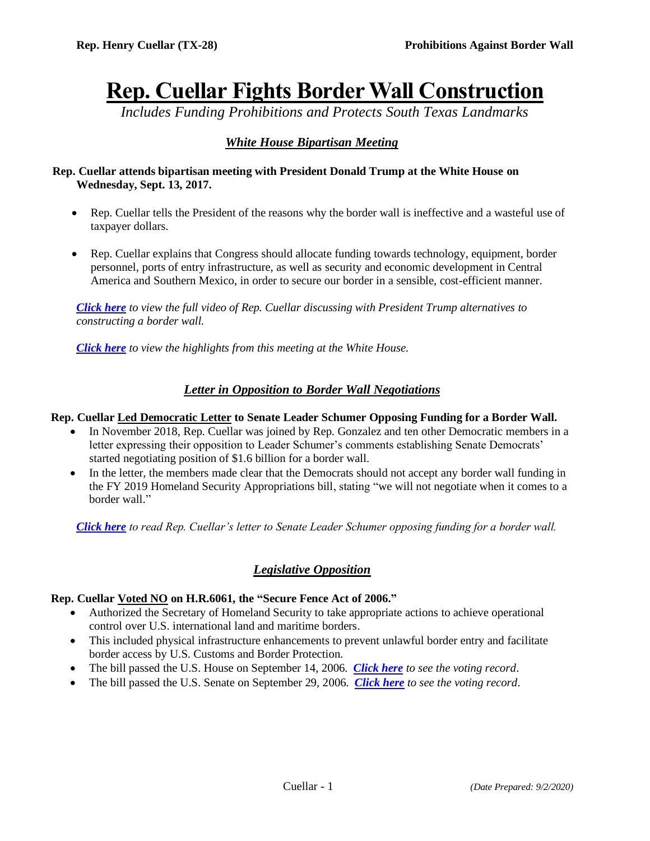# **Rep. Cuellar Fights Border Wall Construction**

*Includes Funding Prohibitions and Protects South Texas Landmarks*

## *White House Bipartisan Meeting*

## **Rep. Cuellar attends bipartisan meeting with President Donald Trump at the White House on Wednesday, Sept. 13, 2017.**

- Rep. Cuellar tells the President of the reasons why the border wall is ineffective and a wasteful use of taxpayer dollars.
- Rep. Cuellar explains that Congress should allocate funding towards technology, equipment, border personnel, ports of entry infrastructure, as well as security and economic development in Central America and Southern Mexico, in order to secure our border in a sensible, cost-efficient manner.

*[Click here](https://www.youtube.com/watch?v=DmE5PqspII8) to view the full video of Rep. Cuellar discussing with President Trump alternatives to constructing a border wall.*

*[Click here](https://www.youtube.com/watch?v=tP3njRL3EQc&feature=youtu.be) to view the highlights from this meeting at the White House.*

## *Letter in Opposition to Border Wall Negotiations*

## **Rep. Cuellar Led Democratic Letter to Senate Leader Schumer Opposing Funding for a Border Wall.**

- In November 2018, Rep. Cuellar was joined by Rep. Gonzalez and ten other Democratic members in a letter expressing their opposition to Leader Schumer's comments establishing Senate Democrats' started negotiating position of \$1.6 billion for a border wall.
- In the letter, the members made clear that the Democrats should not accept any border wall funding in the FY 2019 Homeland Security Appropriations bill, stating "we will not negotiate when it comes to a border wall."

*[Click here](https://cuellar.house.gov/uploadedfiles/scan.pdf) to read Rep. Cuellar's letter to Senate Leader Schumer opposing funding for a border wall.*

## *Legislative Opposition*

## **Rep. Cuellar Voted NO on H.R.6061, the "Secure Fence Act of 2006."**

- Authorized the Secretary of Homeland Security to take appropriate actions to achieve operational control over U.S. international land and maritime borders.
- This included physical infrastructure enhancements to prevent unlawful border entry and facilitate border access by U.S. Customs and Border Protection.
- The bill passed the U.S. House on September 14, 2006. *[Click here](https://clerk.house.gov/Votes/2006446) to see the voting record*.
- The bill passed the U.S. Senate on September 29, 2006. *[Click here](https://www.senate.gov/legislative/LIS/roll_call_lists/roll_call_vote_cfm.cfm?congress=109&session=2&vote=00262) to see the voting record*.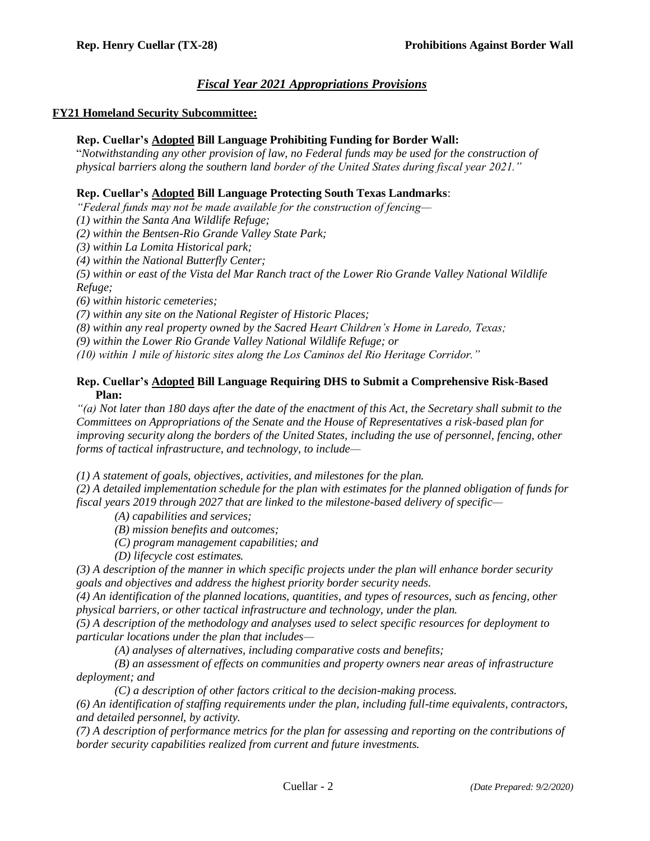## *Fiscal Year 2021 Appropriations Provisions*

## **FY21 Homeland Security Subcommittee:**

#### **Rep. Cuellar's Adopted Bill Language Prohibiting Funding for Border Wall:**

"*Notwithstanding any other provision of law, no Federal funds may be used for the construction of physical barriers along the southern land border of the United States during fiscal year 2021."*

#### **Rep. Cuellar's Adopted Bill Language Protecting South Texas Landmarks**:

*"Federal funds may not be made available for the construction of fencing—*

*(1) within the Santa Ana Wildlife Refuge;* 

*(2) within the Bentsen-Rio Grande Valley State Park;* 

*(3) within La Lomita Historical park;* 

*(4) within the National Butterfly Center;* 

*(5) within or east of the Vista del Mar Ranch tract of the Lower Rio Grande Valley National Wildlife Refuge;* 

*(6) within historic cemeteries;* 

*(7) within any site on the National Register of Historic Places;*

*(8) within any real property owned by the Sacred Heart Children's Home in Laredo, Texas;*

*(9) within the Lower Rio Grande Valley National Wildlife Refuge; or* 

*(10) within 1 mile of historic sites along the Los Caminos del Rio Heritage Corridor."*

## **Rep. Cuellar's Adopted Bill Language Requiring DHS to Submit a Comprehensive Risk-Based Plan:**

*"(a) Not later than 180 days after the date of the enactment of this Act, the Secretary shall submit to the Committees on Appropriations of the Senate and the House of Representatives a risk-based plan for improving security along the borders of the United States, including the use of personnel, fencing, other forms of tactical infrastructure, and technology, to include—*

*(1) A statement of goals, objectives, activities, and milestones for the plan.* 

*(2) A detailed implementation schedule for the plan with estimates for the planned obligation of funds for fiscal years 2019 through 2027 that are linked to the milestone-based delivery of specific—*

*(A) capabilities and services;* 

*(B) mission benefits and outcomes;* 

*(C) program management capabilities; and* 

*(D) lifecycle cost estimates.* 

*(3) A description of the manner in which specific projects under the plan will enhance border security goals and objectives and address the highest priority border security needs.* 

*(4) An identification of the planned locations, quantities, and types of resources, such as fencing, other physical barriers, or other tactical infrastructure and technology, under the plan.* 

*(5) A description of the methodology and analyses used to select specific resources for deployment to particular locations under the plan that includes—*

*(A) analyses of alternatives, including comparative costs and benefits;* 

*(B) an assessment of effects on communities and property owners near areas of infrastructure deployment; and* 

*(C) a description of other factors critical to the decision-making process.* 

*(6) An identification of staffing requirements under the plan, including full-time equivalents, contractors, and detailed personnel, by activity.* 

*(7) A description of performance metrics for the plan for assessing and reporting on the contributions of border security capabilities realized from current and future investments.*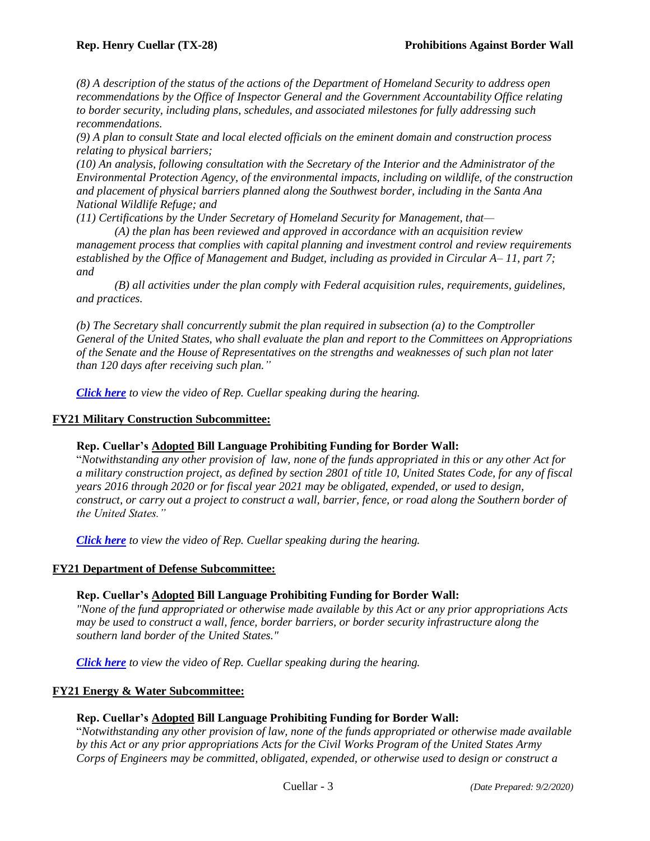*(8) A description of the status of the actions of the Department of Homeland Security to address open recommendations by the Office of Inspector General and the Government Accountability Office relating to border security, including plans, schedules, and associated milestones for fully addressing such recommendations.* 

*(9) A plan to consult State and local elected officials on the eminent domain and construction process relating to physical barriers;* 

*(10) An analysis, following consultation with the Secretary of the Interior and the Administrator of the Environmental Protection Agency, of the environmental impacts, including on wildlife, of the construction and placement of physical barriers planned along the Southwest border, including in the Santa Ana National Wildlife Refuge; and* 

*(11) Certifications by the Under Secretary of Homeland Security for Management, that—*

*(A) the plan has been reviewed and approved in accordance with an acquisition review management process that complies with capital planning and investment control and review requirements established by the Office of Management and Budget, including as provided in Circular A– 11, part 7; and* 

*(B) all activities under the plan comply with Federal acquisition rules, requirements, guidelines, and practices.* 

*(b) The Secretary shall concurrently submit the plan required in subsection (a) to the Comptroller General of the United States, who shall evaluate the plan and report to the Committees on Appropriations of the Senate and the House of Representatives on the strengths and weaknesses of such plan not later than 120 days after receiving such plan."*

*[Click here](https://www.youtube.com/watch?v=iJaldbIdcs0&feature=youtu.be) to view the video of Rep. Cuellar speaking during the hearing.*

## **FY21 Military Construction Subcommittee:**

## **Rep. Cuellar's Adopted Bill Language Prohibiting Funding for Border Wall:**

"*Notwithstanding any other provision of law, none of the funds appropriated in this or any other Act for a military construction project, as defined by section 2801 of title 10, United States Code, for any of fiscal years 2016 through 2020 or for fiscal year 2021 may be obligated, expended, or used to design, construct, or carry out a project to construct a wall, barrier, fence, or road along the Southern border of the United States."*

*[Click here](https://www.facebook.com/152569121550/videos/906153539883660) to view the video of Rep. Cuellar speaking during the hearing.*

## **FY21 Department of Defense Subcommittee:**

## **Rep. Cuellar's Adopted Bill Language Prohibiting Funding for Border Wall:**

*"None of the fund appropriated or otherwise made available by this Act or any prior appropriations Acts may be used to construct a wall, fence, border barriers, or border security infrastructure along the southern land border of the United States."*

*[Click here](https://www.youtube.com/watch?v=A1mo7ussb1Q&t=4s) to view the video of Rep. Cuellar speaking during the hearing.*

## **FY21 Energy & Water Subcommittee:**

## **Rep. Cuellar's Adopted Bill Language Prohibiting Funding for Border Wall:**

"*Notwithstanding any other provision of law, none of the funds appropriated or otherwise made available by this Act or any prior appropriations Acts for the Civil Works Program of the United States Army Corps of Engineers may be committed, obligated, expended, or otherwise used to design or construct a*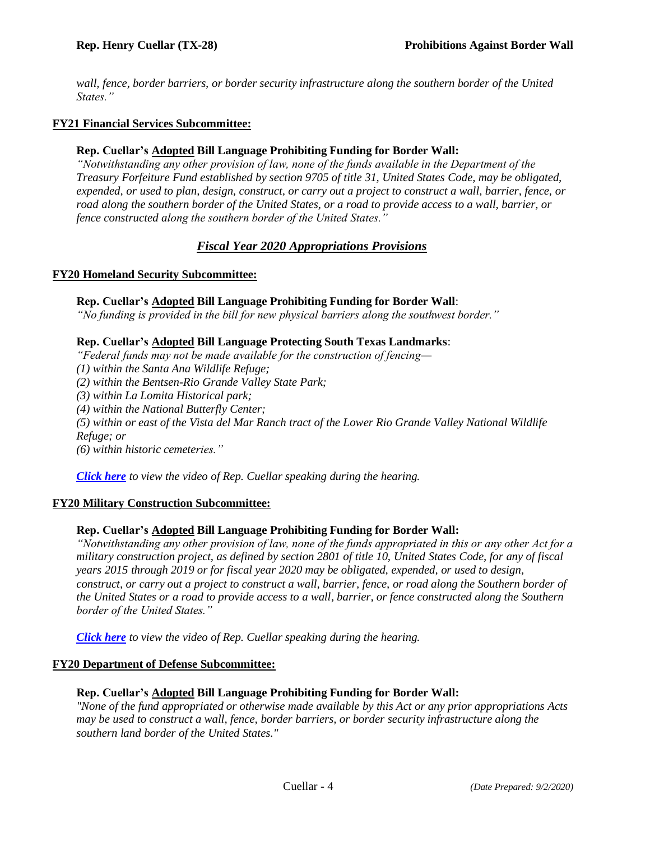*wall, fence, border barriers, or border security infrastructure along the southern border of the United States."*

## **FY21 Financial Services Subcommittee:**

## **Rep. Cuellar's Adopted Bill Language Prohibiting Funding for Border Wall:**

*"Notwithstanding any other provision of law, none of the funds available in the Department of the Treasury Forfeiture Fund established by section 9705 of title 31, United States Code, may be obligated, expended, or used to plan, design, construct, or carry out a project to construct a wall, barrier, fence, or road along the southern border of the United States, or a road to provide access to a wall, barrier, or fence constructed along the southern border of the United States."*

## *Fiscal Year 2020 Appropriations Provisions*

## **FY20 Homeland Security Subcommittee:**

## **Rep. Cuellar's Adopted Bill Language Prohibiting Funding for Border Wall**:

*"No funding is provided in the bill for new physical barriers along the southwest border."*

## **Rep. Cuellar's Adopted Bill Language Protecting South Texas Landmarks**:

*"Federal funds may not be made available for the construction of fencing—*

*(1) within the Santa Ana Wildlife Refuge;*

*(2) within the Bentsen-Rio Grande Valley State Park;*

*(3) within La Lomita Historical park;*

*(4) within the National Butterfly Center;*

*(5) within or east of the Vista del Mar Ranch tract of the Lower Rio Grande Valley National Wildlife Refuge; or*

*(6) within historic cemeteries."*

*[Click here](https://www.youtube.com/watch?v=YFlPIE91hXI&feature=youtu.be) to view the video of Rep. Cuellar speaking during the hearing.*

## **FY20 Military Construction Subcommittee:**

## **Rep. Cuellar's Adopted Bill Language Prohibiting Funding for Border Wall:**

*"Notwithstanding any other provision of law, none of the funds appropriated in this or any other Act for a military construction project, as defined by section 2801 of title 10, United States Code, for any of fiscal years 2015 through 2019 or for fiscal year 2020 may be obligated, expended, or used to design, construct, or carry out a project to construct a wall, barrier, fence, or road along the Southern border of the United States or a road to provide access to a wall, barrier, or fence constructed along the Southern border of the United States."*

*[Click here](https://www.youtube.com/watch?v=NTK6GJC4CF4) to view the video of Rep. Cuellar speaking during the hearing.*

## **FY20 Department of Defense Subcommittee:**

## **Rep. Cuellar's Adopted Bill Language Prohibiting Funding for Border Wall:**

*"None of the fund appropriated or otherwise made available by this Act or any prior appropriations Acts may be used to construct a wall, fence, border barriers, or border security infrastructure along the southern land border of the United States."*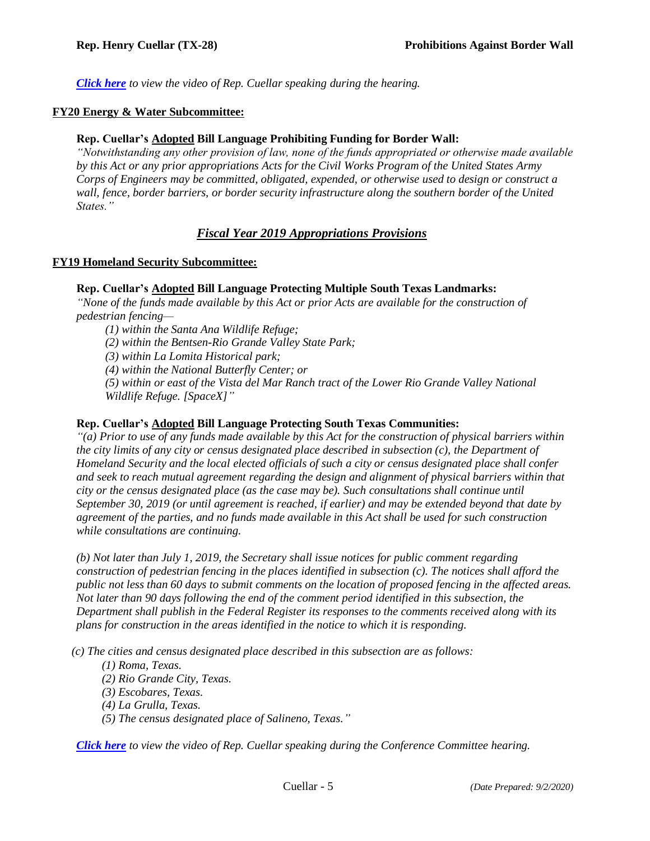*[Click here](https://www.youtube.com/watch?v=PA3lpeu9LYU&feature=youtu.be) to view the video of Rep. Cuellar speaking during the hearing.*

## **FY20 Energy & Water Subcommittee:**

#### **Rep. Cuellar's Adopted Bill Language Prohibiting Funding for Border Wall:**

*"Notwithstanding any other provision of law, none of the funds appropriated or otherwise made available by this Act or any prior appropriations Acts for the Civil Works Program of the United States Army Corps of Engineers may be committed, obligated, expended, or otherwise used to design or construct a wall, fence, border barriers, or border security infrastructure along the southern border of the United States."*

## *Fiscal Year 2019 Appropriations Provisions*

#### **FY19 Homeland Security Subcommittee:**

## **Rep. Cuellar's Adopted Bill Language Protecting Multiple South Texas Landmarks:**

*"None of the funds made available by this Act or prior Acts are available for the construction of pedestrian fencing—*

*(1) within the Santa Ana Wildlife Refuge;*

*(2) within the Bentsen-Rio Grande Valley State Park;*

*(3) within La Lomita Historical park;*

*(4) within the National Butterfly Center; or*

*(5) within or east of the Vista del Mar Ranch tract of the Lower Rio Grande Valley National Wildlife Refuge. [SpaceX]"*

#### **Rep. Cuellar's Adopted Bill Language Protecting South Texas Communities:**

*"(a) Prior to use of any funds made available by this Act for the construction of physical barriers within the city limits of any city or census designated place described in subsection (c), the Department of Homeland Security and the local elected officials of such a city or census designated place shall confer and seek to reach mutual agreement regarding the design and alignment of physical barriers within that city or the census designated place (as the case may be). Such consultations shall continue until September 30, 2019 (or until agreement is reached, if earlier) and may be extended beyond that date by agreement of the parties, and no funds made available in this Act shall be used for such construction while consultations are continuing.*

*(b) Not later than July 1, 2019, the Secretary shall issue notices for public comment regarding construction of pedestrian fencing in the places identified in subsection (c). The notices shall afford the public not less than 60 days to submit comments on the location of proposed fencing in the affected areas. Not later than 90 days following the end of the comment period identified in this subsection, the Department shall publish in the Federal Register its responses to the comments received along with its plans for construction in the areas identified in the notice to which it is responding.*

*(c) The cities and census designated place described in this subsection are as follows:*

*(1) Roma, Texas.*

- *(2) Rio Grande City, Texas.*
- *(3) Escobares, Texas.*
- *(4) La Grulla, Texas.*
- *(5) The census designated place of Salineno, Texas."*

*[Click here](https://ytcropper.com/cropped/Nz5c52239f235a5) to view the video of Rep. Cuellar speaking during the Conference Committee hearing.*